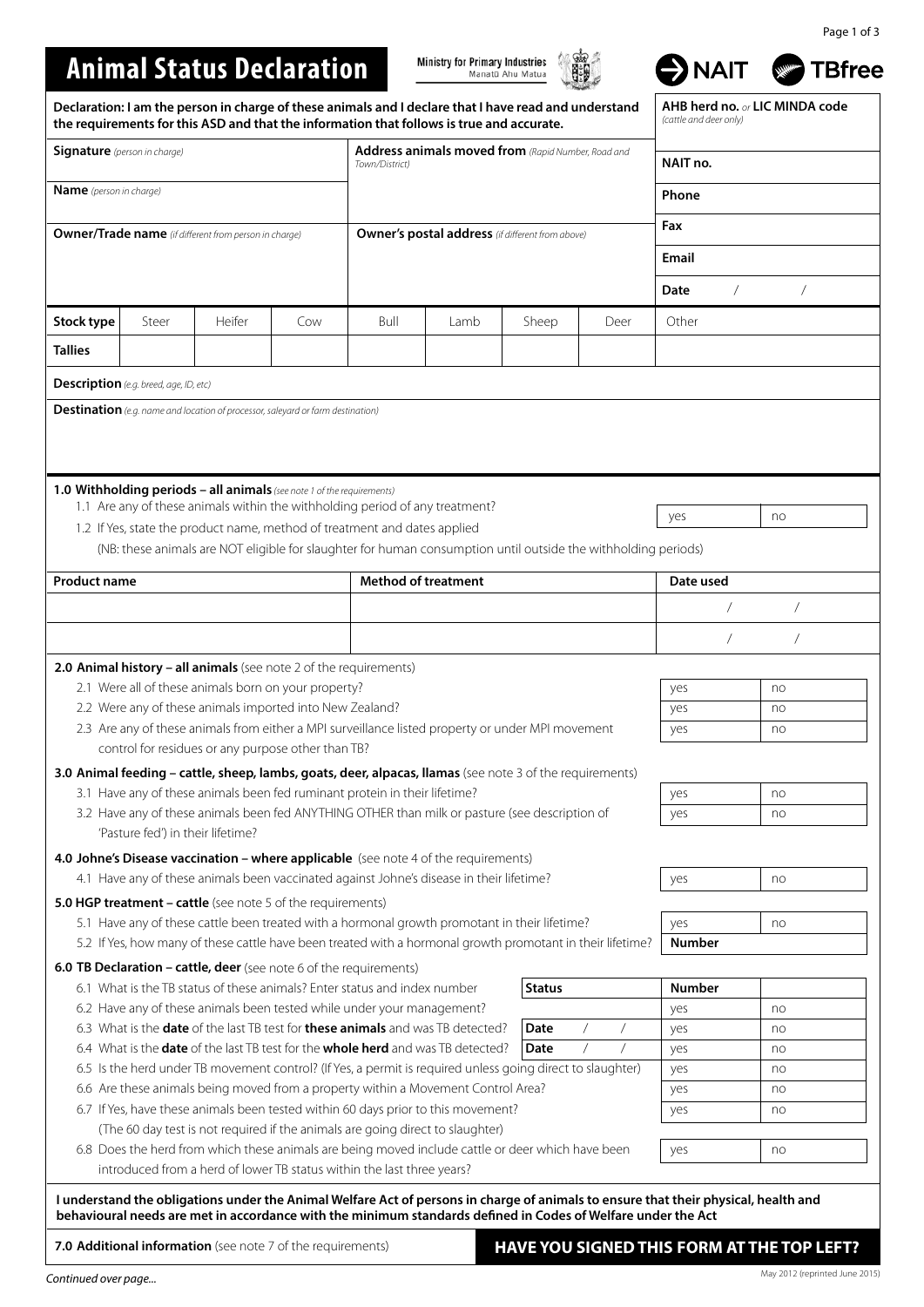## Page 1 of 3

# **Animal Status Declaration**

Ministry for Primary Industries



NAIT TBfree

| Declaration: I am the person in charge of these animals and I declare that I have read and understand<br>the requirements for this ASD and that the information that follows is true and accurate. |                                                                                                                                                                                                              |                                                                   |     |                                                                                                                                                                                             |      |               | AHB herd no. or LIC MINDA code<br>(cattle and deer only) |                        |                                            |
|----------------------------------------------------------------------------------------------------------------------------------------------------------------------------------------------------|--------------------------------------------------------------------------------------------------------------------------------------------------------------------------------------------------------------|-------------------------------------------------------------------|-----|---------------------------------------------------------------------------------------------------------------------------------------------------------------------------------------------|------|---------------|----------------------------------------------------------|------------------------|--------------------------------------------|
| <b>Signature</b> (person in charge)                                                                                                                                                                |                                                                                                                                                                                                              |                                                                   |     | Address animals moved from (Rapid Number, Road and<br>Town/District)                                                                                                                        |      |               |                                                          | NAIT no.               |                                            |
| <b>Name</b> (person in charge)                                                                                                                                                                     |                                                                                                                                                                                                              |                                                                   |     |                                                                                                                                                                                             |      |               |                                                          | Phone                  |                                            |
| <b>Owner/Trade name</b> (if different from person in charge)                                                                                                                                       |                                                                                                                                                                                                              |                                                                   |     | <b>Owner's postal address</b> (if different from above)                                                                                                                                     |      |               |                                                          | Fax                    |                                            |
|                                                                                                                                                                                                    |                                                                                                                                                                                                              |                                                                   |     |                                                                                                                                                                                             |      |               |                                                          | Email                  |                                            |
|                                                                                                                                                                                                    |                                                                                                                                                                                                              |                                                                   |     |                                                                                                                                                                                             |      |               |                                                          | Date<br>$\overline{1}$ |                                            |
| Stock type                                                                                                                                                                                         | Steer                                                                                                                                                                                                        | Heifer                                                            | Cow | Bull                                                                                                                                                                                        | Lamb | Sheep         | Deer                                                     | Other                  |                                            |
| <b>Tallies</b>                                                                                                                                                                                     |                                                                                                                                                                                                              |                                                                   |     |                                                                                                                                                                                             |      |               |                                                          |                        |                                            |
|                                                                                                                                                                                                    | <b>Description</b> (e.g. breed, age, ID, etc)                                                                                                                                                                |                                                                   |     |                                                                                                                                                                                             |      |               |                                                          |                        |                                            |
|                                                                                                                                                                                                    |                                                                                                                                                                                                              |                                                                   |     |                                                                                                                                                                                             |      |               |                                                          |                        |                                            |
| <b>Destination</b> (e.g. name and location of processor, saleyard or farm destination)<br>1.0 Withholding periods - all animals (see note 1 of the requirements)                                   |                                                                                                                                                                                                              |                                                                   |     |                                                                                                                                                                                             |      |               |                                                          |                        |                                            |
|                                                                                                                                                                                                    |                                                                                                                                                                                                              |                                                                   |     | 1.1 Are any of these animals within the withholding period of any treatment?                                                                                                                |      |               |                                                          | yes                    | no                                         |
|                                                                                                                                                                                                    |                                                                                                                                                                                                              |                                                                   |     | 1.2 If Yes, state the product name, method of treatment and dates applied<br>(NB: these animals are NOT eligible for slaughter for human consumption until outside the withholding periods) |      |               |                                                          |                        |                                            |
|                                                                                                                                                                                                    |                                                                                                                                                                                                              |                                                                   |     |                                                                                                                                                                                             |      |               |                                                          |                        |                                            |
| <b>Product name</b>                                                                                                                                                                                |                                                                                                                                                                                                              |                                                                   |     | <b>Method of treatment</b>                                                                                                                                                                  |      |               |                                                          | Date used              |                                            |
|                                                                                                                                                                                                    |                                                                                                                                                                                                              |                                                                   |     |                                                                                                                                                                                             |      |               |                                                          |                        | $\overline{1}$                             |
|                                                                                                                                                                                                    |                                                                                                                                                                                                              |                                                                   |     |                                                                                                                                                                                             |      |               |                                                          |                        | $\overline{1}$                             |
|                                                                                                                                                                                                    |                                                                                                                                                                                                              | 2.0 Animal history - all animals (see note 2 of the requirements) |     |                                                                                                                                                                                             |      |               |                                                          |                        |                                            |
|                                                                                                                                                                                                    |                                                                                                                                                                                                              | 2.1 Were all of these animals born on your property?              |     |                                                                                                                                                                                             |      |               |                                                          | yes                    | no                                         |
| 2.2 Were any of these animals imported into New Zealand?                                                                                                                                           |                                                                                                                                                                                                              |                                                                   |     |                                                                                                                                                                                             |      |               |                                                          | yes                    | no                                         |
|                                                                                                                                                                                                    |                                                                                                                                                                                                              |                                                                   |     | 2.3 Are any of these animals from either a MPI surveillance listed property or under MPI movement                                                                                           |      |               |                                                          | yes                    | no                                         |
|                                                                                                                                                                                                    |                                                                                                                                                                                                              | control for residues or any purpose other than TB?                |     |                                                                                                                                                                                             |      |               |                                                          |                        |                                            |
|                                                                                                                                                                                                    |                                                                                                                                                                                                              |                                                                   |     | 3.0 Animal feeding - cattle, sheep, lambs, goats, deer, alpacas, llamas (see note 3 of the requirements)                                                                                    |      |               |                                                          |                        |                                            |
|                                                                                                                                                                                                    |                                                                                                                                                                                                              |                                                                   |     | 3.1 Have any of these animals been fed ruminant protein in their lifetime?<br>3.2 Have any of these animals been fed ANYTHING OTHER than milk or pasture (see description of                |      |               |                                                          | yes<br>yes             | no<br>no                                   |
|                                                                                                                                                                                                    | 'Pasture fed') in their lifetime?                                                                                                                                                                            |                                                                   |     |                                                                                                                                                                                             |      |               |                                                          |                        |                                            |
|                                                                                                                                                                                                    |                                                                                                                                                                                                              |                                                                   |     | 4.0 Johne's Disease vaccination - where applicable (see note 4 of the requirements)                                                                                                         |      |               |                                                          |                        |                                            |
| 4.1 Have any of these animals been vaccinated against Johne's disease in their lifetime?                                                                                                           |                                                                                                                                                                                                              |                                                                   |     |                                                                                                                                                                                             |      |               |                                                          | yes                    | no                                         |
|                                                                                                                                                                                                    |                                                                                                                                                                                                              | 5.0 HGP treatment - cattle (see note 5 of the requirements)       |     |                                                                                                                                                                                             |      |               |                                                          |                        |                                            |
|                                                                                                                                                                                                    | 5.1 Have any of these cattle been treated with a hormonal growth promotant in their lifetime?                                                                                                                |                                                                   |     |                                                                                                                                                                                             |      |               |                                                          | yes                    | no                                         |
|                                                                                                                                                                                                    | 5.2 If Yes, how many of these cattle have been treated with a hormonal growth promotant in their lifetime?                                                                                                   |                                                                   |     |                                                                                                                                                                                             |      |               |                                                          | <b>Number</b>          |                                            |
|                                                                                                                                                                                                    |                                                                                                                                                                                                              |                                                                   |     | 6.0 TB Declaration - cattle, deer (see note 6 of the requirements)                                                                                                                          |      |               |                                                          |                        |                                            |
|                                                                                                                                                                                                    |                                                                                                                                                                                                              |                                                                   |     | 6.1 What is the TB status of these animals? Enter status and index number                                                                                                                   |      | <b>Status</b> |                                                          | <b>Number</b>          |                                            |
|                                                                                                                                                                                                    |                                                                                                                                                                                                              |                                                                   |     | 6.2 Have any of these animals been tested while under your management?<br>6.3 What is the <b>date</b> of the last TB test for <b>these animals</b> and was TB detected?                     |      | Date          | $\sqrt{2}$                                               | yes                    | no                                         |
|                                                                                                                                                                                                    |                                                                                                                                                                                                              |                                                                   |     |                                                                                                                                                                                             |      | Date          |                                                          | yes<br>yes             | no<br>no                                   |
|                                                                                                                                                                                                    | 6.4 What is the <b>date</b> of the last TB test for the <b>whole herd</b> and was TB detected?<br>6.5 Is the herd under TB movement control? (If Yes, a permit is required unless going direct to slaughter) |                                                                   |     |                                                                                                                                                                                             |      |               | yes                                                      | no                     |                                            |
|                                                                                                                                                                                                    | 6.6 Are these animals being moved from a property within a Movement Control Area?                                                                                                                            |                                                                   |     |                                                                                                                                                                                             |      |               | yes                                                      | no                     |                                            |
|                                                                                                                                                                                                    | 6.7 If Yes, have these animals been tested within 60 days prior to this movement?                                                                                                                            |                                                                   |     |                                                                                                                                                                                             |      |               | yes                                                      | no                     |                                            |
|                                                                                                                                                                                                    |                                                                                                                                                                                                              |                                                                   |     | (The 60 day test is not required if the animals are going direct to slaughter)                                                                                                              |      |               |                                                          |                        |                                            |
|                                                                                                                                                                                                    |                                                                                                                                                                                                              |                                                                   |     | 6.8 Does the herd from which these animals are being moved include cattle or deer which have been<br>introduced from a herd of lower TB status within the last three years?                 |      |               |                                                          | yes                    | no                                         |
| I understand the obligations under the Animal Welfare Act of persons in charge of animals to ensure that their physical, health and                                                                |                                                                                                                                                                                                              |                                                                   |     |                                                                                                                                                                                             |      |               |                                                          |                        |                                            |
| behavioural needs are met in accordance with the minimum standards defined in Codes of Welfare under the Act                                                                                       |                                                                                                                                                                                                              |                                                                   |     |                                                                                                                                                                                             |      |               |                                                          |                        |                                            |
|                                                                                                                                                                                                    |                                                                                                                                                                                                              | 7.0 Additional information (see note 7 of the requirements)       |     |                                                                                                                                                                                             |      |               |                                                          |                        | HAVE YOU SIGNED THIS FORM AT THE TOP LEFT? |

*Continued over page...*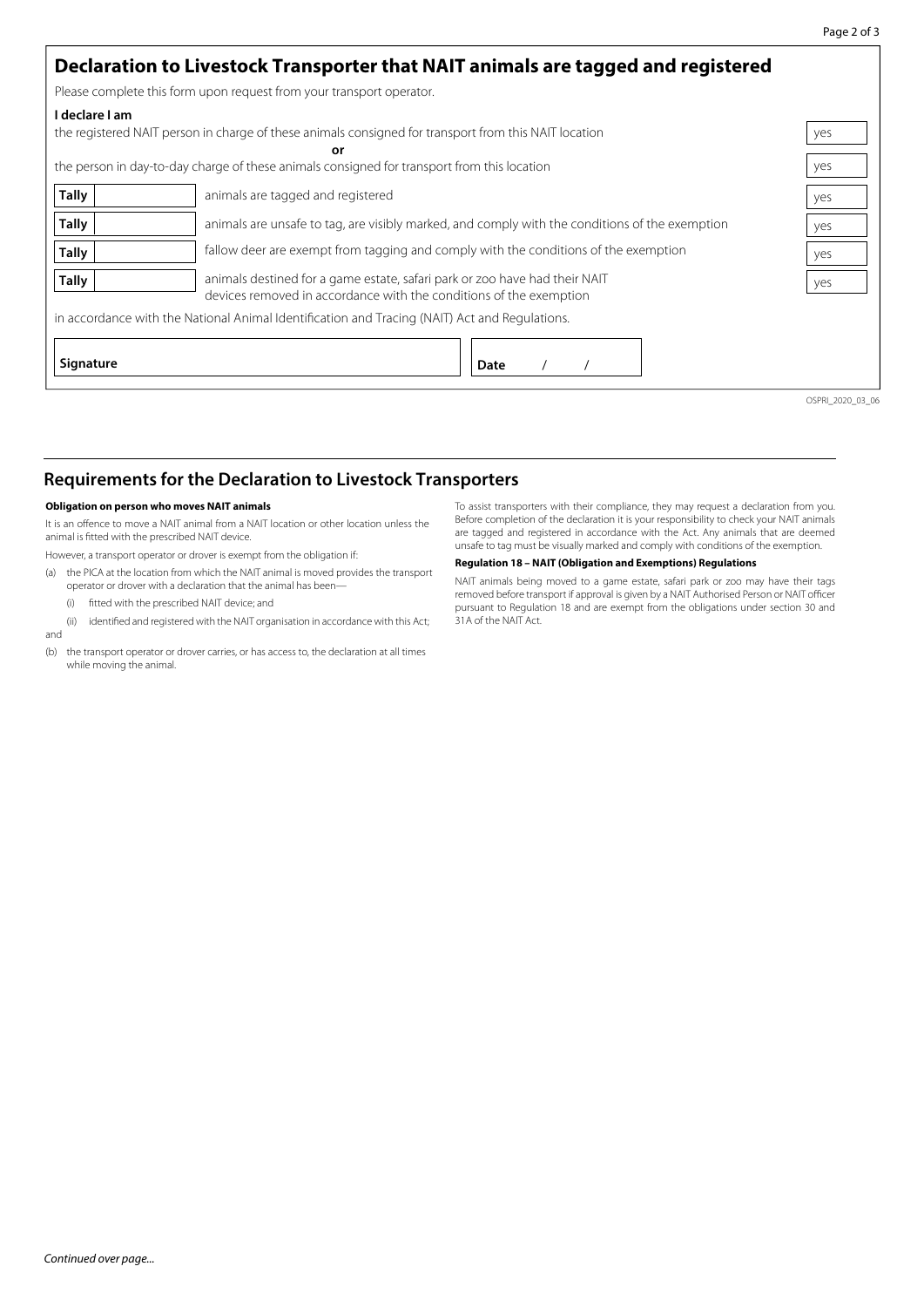|                | Declaration to Livestock Transporter that NAIT animals are tagged and registered                                                                 |                  |  |  |  |  |  |
|----------------|--------------------------------------------------------------------------------------------------------------------------------------------------|------------------|--|--|--|--|--|
|                | Please complete this form upon request from your transport operator.                                                                             |                  |  |  |  |  |  |
| I declare I am | the registered NAIT person in charge of these animals consigned for transport from this NAIT location                                            | yes              |  |  |  |  |  |
|                | or<br>the person in day-to-day charge of these animals consigned for transport from this location                                                | yes              |  |  |  |  |  |
| <b>Tally</b>   | animals are tagged and registered                                                                                                                | yes              |  |  |  |  |  |
| Tally          | animals are unsafe to tag, are visibly marked, and comply with the conditions of the exemption                                                   | yes              |  |  |  |  |  |
| <b>Tally</b>   | fallow deer are exempt from tagging and comply with the conditions of the exemption                                                              |                  |  |  |  |  |  |
| <b>Tally</b>   | animals destined for a game estate, safari park or zoo have had their NAIT<br>devices removed in accordance with the conditions of the exemption |                  |  |  |  |  |  |
|                | in accordance with the National Animal Identification and Tracing (NAIT) Act and Regulations.                                                    |                  |  |  |  |  |  |
| Signature      | Date                                                                                                                                             |                  |  |  |  |  |  |
|                |                                                                                                                                                  | OSPRI 2020 03 06 |  |  |  |  |  |

# **Requirements for the Declaration to Livestock Transporters**

### **Obligation on person who moves NAIT animals**

It is an offence to move a NAIT animal from a NAIT location or other location unless the animal is fitted with the prescribed NAIT device.

However, a transport operator or drover is exempt from the obligation if:

- (a) the PICA at the location from which the NAIT animal is moved provides the transport operator or drover with a declaration that the animal has been—
	- (i) fitted with the prescribed NAIT device; and
- (ii) identified and registered with the NAIT organisation in accordance with this Act; and
- (b) the transport operator or drover carries, or has access to, the declaration at all times while moving the animal.

To assist transporters with their compliance, they may request a declaration from you. Before completion of the declaration it is your responsibility to check your NAIT animals are tagged and registered in accordance with the Act. Any animals that are deemed unsafe to tag must be visually marked and comply with conditions of the exemption.

#### **Regulation 18 – NAIT (Obligation and Exemptions) Regulations**

NAIT animals being moved to a game estate, safari park or zoo may have their tags removed before transport if approval is given by a NAIT Authorised Person or NAIT officer pursuant to Regulation 18 and are exempt from the obligations under section 30 and 31A of the NAIT Act.